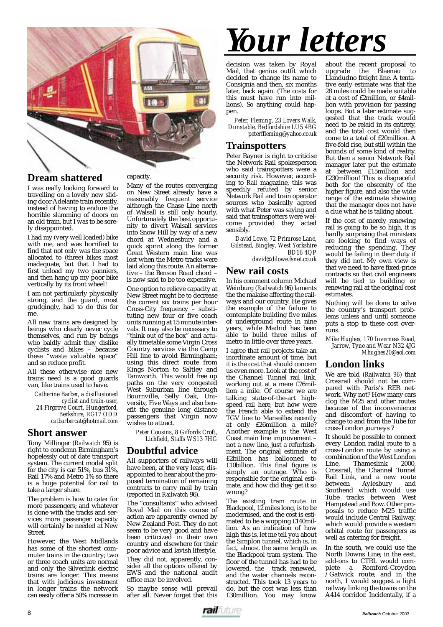

#### **Dream shattered**

I was really looking forward to travelling on a lovely new sliding door Adelante train recently, instead of having to endure the horrible slamming of doors on an old train, but I was to be sorely disappointed.

I had my (very well loaded) bike with me, and was horrified to find that not only was the space allocated to (three) bikes most inadequate, but that I had to first unload my two panniers, and then hang up my poor bike vertically by its front wheel!

I am not particularly physically strong, and the guard, most grudgingly, had to do this for me.

All new trains are designed by beings who clearly never cycle themselves, and run by beings who baldly admit they dislike cyclists and bikes – because these "waste valuable space" and so reduce profit.

All these otherwise nice new trains need is a good guards van, like trains used to have.

*Catherine Barber, a disillusioned cyclist and train-user, 24 Firgrove Court, Hungerford, Berkshire, RG17 ODD catbarbercat@hotmail.com*

#### **Short answer**

Tony Millinger (*Railwatch* 95) is right to condemn Birmingham's hopelessly out of date transport system. The current modal split for the city is car 51%, bus  $31\%$ , Rail 17% and Metro 1% so there is a huge potential for rail to take a larger share.

The problem is how to cater for more passengers; and whatever is done with the tracks and services more passenger capacity will certainly be needed at New Street.

However, the West Midlands has some of the shortest commuter trains in the country; two or three coach units are normal and only the Silverlink electric trains are longer. This means that with judicious investment in longer trains the network can easily offer a 50% increase in

#### capacity.

Many of the routes converging on New Street already have a reasonably frequent service although the Chase Line north of Walsall is still only hourly. Unfortunately the best opportunity to divert Walsall services into Snow Hill by way of a new chord at Wednesbury and a quick sprint along the former Great Western main line was lost when the Metro tracks were laid along this route. An alternative – the Benson Road chord – is now said to be too expensive.

One option to relieve capacity at New Street might be to decrease the current six trains per hour Cross-City frequency – substituting new four or five coach units running at 15 minute intervals. It may also be necessary to "think out of the box" and actually timetable some Virgin Cross Country services via the Camp Hill line to avoid Birmingham; using this direct route from Kings Norton to Saltley and Tamworth. This would free up paths on the very congested West Suburban line through Bournville, Selly Oak, University, Five Ways and also benefit the genuine long distance passengers that Virgin now wishes to attract.

> *Peter Cousins, 8 Giffords Croft, Lichfield, Staffs WS13 7HG*

#### **Doubtful advice**

All supporters of railways will have been, at the very least, disappointed to hear about the proposed termination of remaining contracts to carry mail by train (reported in *Railwatch* 96).

The "consultants" who advised Royal Mail on this course of action are apparently owned by New Zealand Post. They do not seem to be very good and have been criticized in their own country and elsewhere for their poor advice and lavish lifestyle.

They did not, apparently, consider all the options offered by EWS and the national audit office may be involved.

So maybe sense will prevail after all. Never forget that this

# *Your letters*

decision was taken by Royal Mail, that genius outfit which decided to change its name to Consignia and then, six months later, back again. (The costs for this must have run into millions). So anything could happen.

*Peter, Fleming, 23 Lovers Walk, Dunstable, Bedfordshire LU5 4BG peterffleming@yahoo.co.uk*

#### **Trainspotters**

Peter Rayner is right to criticise the Network Rail spokesperson who said trainspotters were a security risk. However, according to *Rail* magazine, this was speedily refuted by senior Network Rail and train operator sources who basically agreed with what Peter was saying and said that trainspotters were welcome provided they acted sensibly.

*David Lowe, 72 Primrose Lane, Gilstead, Bingley, West Yorkshire BD16 4QP david@dilowe.fsnet.co.uk*

#### **New rail costs**

In his comment column Michael Weinburg (*Railwatch* 96) laments the the malaise affecting the railways and our country. He gives the example of the failure to contemplate building five miles of underground route in nine years, while Madrid has been able to build three miles of metro in little over three years.

I agree that rail projects take an inordinate amount of time, but it is the cost that should concern us even more. Look at the cost of the Channel Tunnel rail link, working out at a mere £76million a mile. Of course we are talking state-of-the-art highspeed rail here, but how were the French able to extend the TGV line to Marseilles recently at only £26million a mile? Another example is the West Coast main line improvement – not a new line, just a refurbishment. The original estimate of £2billion has ballooned to £10billion. This final figure is simply an outrage. Who is responsible for the original estimate, and how did they get it so wrong?

The existing tram route in Blackpool, 12 miles long, is to be modernised, and the cost is estimated to be a wopping £140million. As an indication of how high this is, let me tell you about the Simplon tunnel, which is, in fact, almost the same length as the Blackpool tram system. The floor of the tunnel has had to be lowered, the track renewed, and the water channels reconstructed. This took 13 years to do, but the cost was less than £30million. You may know

about the recent proposal to upgrade the Blaenau to Llandudno freight line. A tentative early estimate was that the 28 miles could be made suitable at a cost of £2million, or £4million with provision for passing loops. But a later estimate suggested that the track would need to be relaid in its entirety, and the total cost would then come to a total of £20million. A five-fold rise, but still within the bounds of some kind of reality. But then a senior Network Rail manager later put the estimate at between £15million and £230million! This is disgraceful both for the obscenity of the higher figure, and also the wide range of the estimate showing that the manager does not have a clue what he is talking about.

If the cost of merely renewing rail is going to be so high, it is hardly surprising that ministers are looking to find ways of reducing the spending. They would be failing in their duty if they did not. My own view is that we need to have fixed-price contracts so that civil engineers will be tied to building or renewing rail at the original cost estimates.

Nothing will be done to solve the country's transport problems unless and until someone puts a stop to these cost overruns.

*Mike Hughes, 170 Inverness Road, Jarrow, Tyne and Wear N32 4JG Mhughes20@aol.com*

#### **London links**

We are told (*Railwatch 96*) that Crossrail should not be compared with Paris's RER network. Why not? How many cars clog the M25 and other routes because of the inconvenience and discomfort of having to change to and from the Tube for cross-London journeys ?

It should be possible to connect every London radial route to a cross-London route by using a combination of the West London<br>Line, Thameslink 2000, Thameslink Crossrail, the Channel Tunnel Rail Link, and a new route<br>between Avlesbury and Aylesbury Southend which would use Tube tracks between West Hampstead and Bow. Other proposals to reduce M25 traffic would include Central Railway, which would provide a western orbital route for passengers as well as catering for freight.

In the south, we could use the North Downs Line; in the east, add-ons to CTRL would complete a Romford-Croydon /Gatwick route; and in the north, I would suggest a light railway linking the towns on the A414 corridor. Incidentally, if a

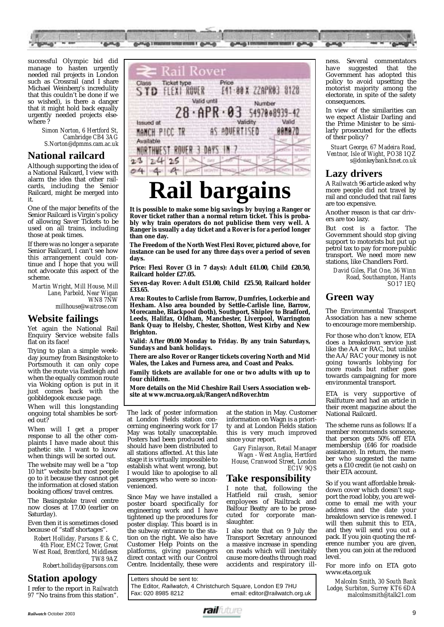

successful Olympic bid did manage to hasten urgently needed rail projects in London such as Crossrail (and I share Michael Weinberg's incredulity that this couldn't be done if we so wished), is there a danger that it might hold back equally urgently needed projects elsewhere ?

> *Simon Norton, 6 Hertford St, Cambridge CB4 3AG S.Norton@dpmms.cam.ac.uk*

#### **National railcard**

Although supporting the idea of a National Railcard, I view with alarm the idea that other railcards, including the Senior Railcard, might be merged into it.

One of the major benefits of the Senior Railcard is Virgin's policy of allowing Saver Tickets to be used on all trains, including those at peak times.

If there was no longer a separate Senior Railcard, I can't see how this arrangement could continue and I hope that you will not advocate this aspect of the scheme.

*Martin Wright, Mill House, Mill Lane, Parbold, Near Wigan WN8 7NW millhouse@waitrose.com*

#### **Website failings**

Yet again the National Rail Enquiry Service website falls flat on its face!

Trying to plan a simple weekday journey from Basingstoke to Portsmouth it can only cope with the route via Eastleigh and when the equally common route via Woking option is put in it just comes back with the gobbldegook excuse page.

When will this longstanding ongoing total shambles be sorted out?

When will I get a proper response to all the other complaints I have made about this pathetic site. I want to know when things will be sorted out.

The website may well be a "top 10 hit" website but most people go to it because they cannot get the information at closed station booking offices/travel centres.

The Basingstoke travel centre now closes at 17.00 (earlier on Saturday).

Even then it is sometimes closed because of "staff shortages".

*Robert Holliday, Parsons E & C, 4th Floor, EMC2 Tower, Great West Road, Brentford, Middlesex TW8 9AZ Robert.holliday@parsons.com*

**Station apology** 

I refer to the report in *Railwatch 97* "No trains from this station".



### **Rail bargains**

**It is possible to make some big savings by buying a Ranger or Rover ticket rather than a normal return ticket. This is probably why train operators do not publicise them very well. A Ranger is usually a day ticket and a Rover is for a period longer than one day.** 

**The Freedom of the North West Flexi Rover, pictured above, for instance can be used for any three days over a period of seven days.** 

**Price: Flexi Rover (3 in 7 days): Adult £41.00, Child £20.50, Railcard holder £27.05.**

**Seven-day Rover: Adult £51.00, Child £25.50, Railcard holder £33.65.** 

**Area: Routes to Carlisle from Barrow, Dumfries, Lockerbie and Hexham. Also area bounded by Settle-Carlisle line, Barrow, Morecambe, Blackpool (both), Southport, Shipley to Bradford, Leeds, Halifax, Oldham, Manchester, Liverpool, Warrington Bank Quay to Helsby, Chester, Shotton, West Kirby and New Brighton.** 

**Valid: After 09.00 Monday to Friday. By any train Saturdays, Sundays and bank holidays.** 

**There are also Rover or Ranger tickets covering North and Mid Wales, the Lakes and Furness area, and Coast and Peaks.**

**Family tickets are available for one or two adults with up to four children.** 

**More details on the Mid Cheshire Rail Users Association website at www.mcrua.org.uk/RangerAndRover.htm**

The lack of poster information at London Fields station concerning engineering work for 17 May was totally unacceptable. Posters had been produced and should have been distributed to all stations affected. At this late stage it is virtually impossible to establish what went wrong, but I would like to apologise to all passengers who were so inconvenienced.

Since May we have installed a poster board specifically for engineering work and I have tightened up the procedures for poster display. This board is in the subway entrance to the station on the right. We also have Customer Help Points on the platforms, giving passengers direct contact with our Control Centre. Incidentally, these were

at the station in May. Customer information on Wagn is a priority and at London Fields station this is very much improved since your report.

*Gary Finlayson, Retail Manager Wagn - West Anglia, Hertford House, Cranwood Street, London EC1V 9QS*

#### **Take responsibility**

I note that, following the<br>Hatfield rail crash, senior crash, senior employees of Railtrack and Balfour Beatty are to be prosecuted for corporate manslaughter.

I also note that on 9 July the Transport Secretary announced a massive increase in spending on roads which will inevitably cause more deaths through road accidents and respiratory ill-

Letters should be sent to: The Editor, *Railwatch*, 4 Christchurch Square, London E9 7HU email: editor@railwatch.org.uk ness. Several commentators<br>have suggested that the suggested that the Government has adopted this policy to avoid upsetting the motorist majority among the electorate, in spite of the safety consequences.

In view of the similarities can we expect Alistair Darling and the Prime Minister to be similarly prosecuted for the effects of their policy?

*Stuart George, 67 Madeira Road, Ventnor, Isle of Wight, PO38 1QZ s@donkeybank.fsnet.co.uk*

#### **Lazy drivers**

A *Railwatch* 96 article asked why more people did not travel by rail and concluded that rail fares are too expensive.

Another reason is that car drivers are too lazy.

But cost is a factor. The Government should stop giving support to motorists but put up petrol tax to pay for more public transport. We need more new stations, like Chandlers Ford.

*David Giles, Flat One, 36 Winn Road, Southampton, Hants SO17 1EQ*

#### **Green way**

The Environmental Transport Association has a new scheme to encourage more membership.

For those who don't know, ETA does a breakdown service just like the AA or RAC, but unlike the AA/RAC your money is not going towards lobbying for more roads but rather goes towards campaigning for more environmental transport.

ETA is very supportive of Railfuture and had an article in their recent magazine about the National Railcard.

The scheme runs as follows: If a member recommends someone, that person gets 50% off ETA membership (£46 for roadside assistance). In return, the member who suggested the name gets a £10 credit (ie not cash) on their ETA account.

So if you want affordable breakdown cover which doesn't support the road lobby, you are welcome to email me with your address and the date your breakdown service is renewed. I will then submit this to ETA, and they will send you out a pack. If you join quoting the reference number you are given, then you can join at the reduced level.

For more info on ETA goto www.eta.org.uk

*Malcolm Smith, 30 South Bank Lodge, Surbiton, Surrey KT6 6DA malcolmsmith@talk21.com*